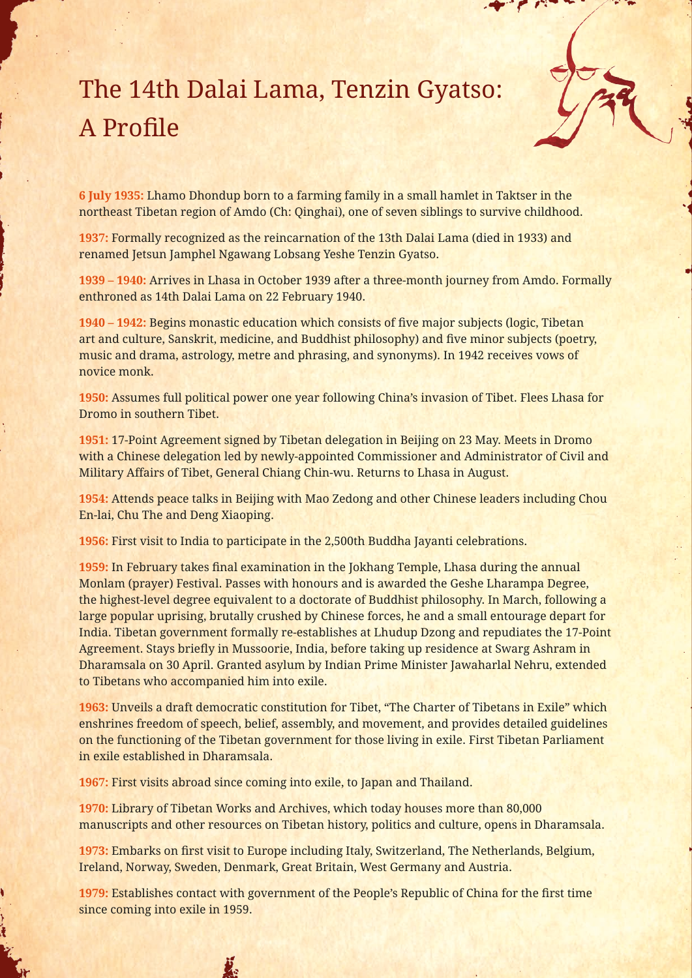The 14th Dalai Lama, Tenzin Gyatso: A Profile

**6 July 1935:** Lhamo Dhondup born to a farming family in a small hamlet in Taktser in the northeast Tibetan region of Amdo (Ch: Qinghai), one of seven siblings to survive childhood.

**1937:** Formally recognized as the reincarnation of the 13th Dalai Lama (died in 1933) and renamed Jetsun Jamphel Ngawang Lobsang Yeshe Tenzin Gyatso.

**1939 – 1940:** Arrives in Lhasa in October 1939 after a three-month journey from Amdo. Formally enthroned as 14th Dalai Lama on 22 February 1940.

**1940 – 1942:** Begins monastic education which consists of five major subjects (logic, Tibetan art and culture, Sanskrit, medicine, and Buddhist philosophy) and five minor subjects (poetry, music and drama, astrology, metre and phrasing, and synonyms). In 1942 receives vows of novice monk.

**1950:** Assumes full political power one year following China's invasion of Tibet. Flees Lhasa for Dromo in southern Tibet.

**1951:** 17-Point Agreement signed by Tibetan delegation in Beijing on 23 May. Meets in Dromo with a Chinese delegation led by newly-appointed Commissioner and Administrator of Civil and Military Affairs of Tibet, General Chiang Chin-wu. Returns to Lhasa in August.

**1954:** Attends peace talks in Beijing with Mao Zedong and other Chinese leaders including Chou En-lai, Chu The and Deng Xiaoping.

**1956:** First visit to India to participate in the 2,500th Buddha Jayanti celebrations.

**1959:** In February takes final examination in the Jokhang Temple, Lhasa during the annual Monlam (prayer) Festival. Passes with honours and is awarded the Geshe Lharampa Degree, the highest-level degree equivalent to a doctorate of Buddhist philosophy. In March, following a large popular uprising, brutally crushed by Chinese forces, he and a small entourage depart for India. Tibetan government formally re-establishes at Lhudup Dzong and repudiates the 17-Point Agreement. Stays briefly in Mussoorie, India, before taking up residence at Swarg Ashram in Dharamsala on 30 April. Granted asylum by Indian Prime Minister Jawaharlal Nehru, extended to Tibetans who accompanied him into exile.

**1963:** Unveils a draft democratic constitution for Tibet, "The Charter of Tibetans in Exile" which enshrines freedom of speech, belief, assembly, and movement, and provides detailed guidelines on the functioning of the Tibetan government for those living in exile. First Tibetan Parliament in exile established in Dharamsala.

**1967:** First visits abroad since coming into exile, to Japan and Thailand.

ÿ.

**1970:** Library of Tibetan Works and Archives, which today houses more than 80,000 manuscripts and other resources on Tibetan history, politics and culture, opens in Dharamsala.

**1973:** Embarks on first visit to Europe including Italy, Switzerland, The Netherlands, Belgium, Ireland, Norway, Sweden, Denmark, Great Britain, West Germany and Austria.

**1979:** Establishes contact with government of the People's Republic of China for the first time since coming into exile in 1959.